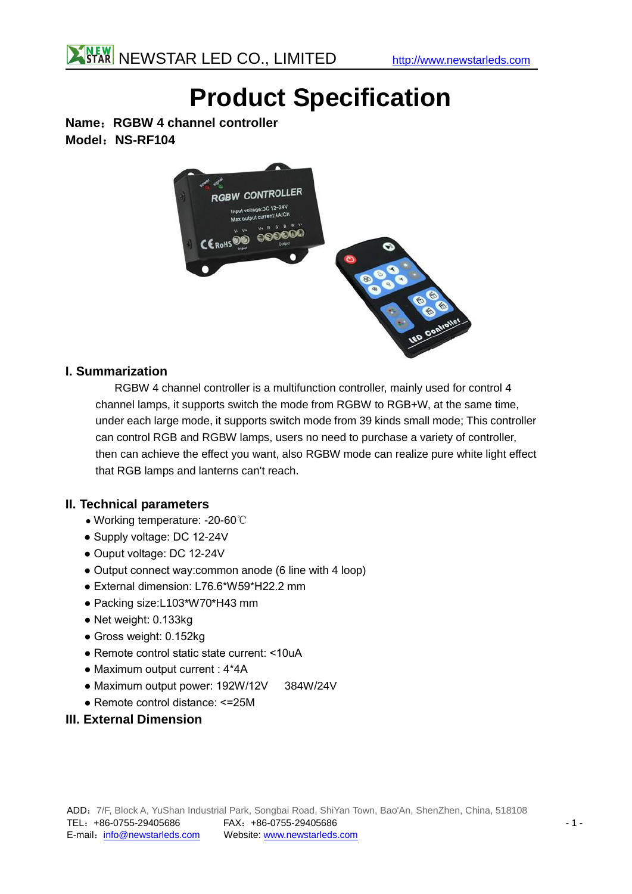# **Product Specification**

**Name**:**RGBW 4 channel controller Model**:**NS-RF104**



### **I. Summarization**

RGBW 4 channel controller is a multifunction controller, mainly used for control 4 channel lamps, it supports switch the mode from RGBW to RGB+W, at the same time, under each large mode, it supports switch mode from 39 kinds small mode; This controller can control RGB and RGBW lamps, users no need to purchase a variety of controller, then can achieve the effect you want, also RGBW mode can realize pure white light effect that RGB lamps and lanterns can't reach.

#### **II. Technical parameters**

- Working temperature: -20-60℃
- Supply voltage: DC 12-24V
- Ouput voltage: DC 12-24V
- Output connect way: common anode (6 line with 4 loop)
- External dimension: L76.6\*W59\*H22.2 mm
- Packing size:L103\*W70\*H43 mm
- Net weight: 0.133kg
- Gross weight: 0.152kg
- Remote control static state current: <10uA
- Maximum output current : 4\*4A
- Maximum output power: 192W/12V 384W/24V
- Remote control distance: <=25M
- **III. External Dimension**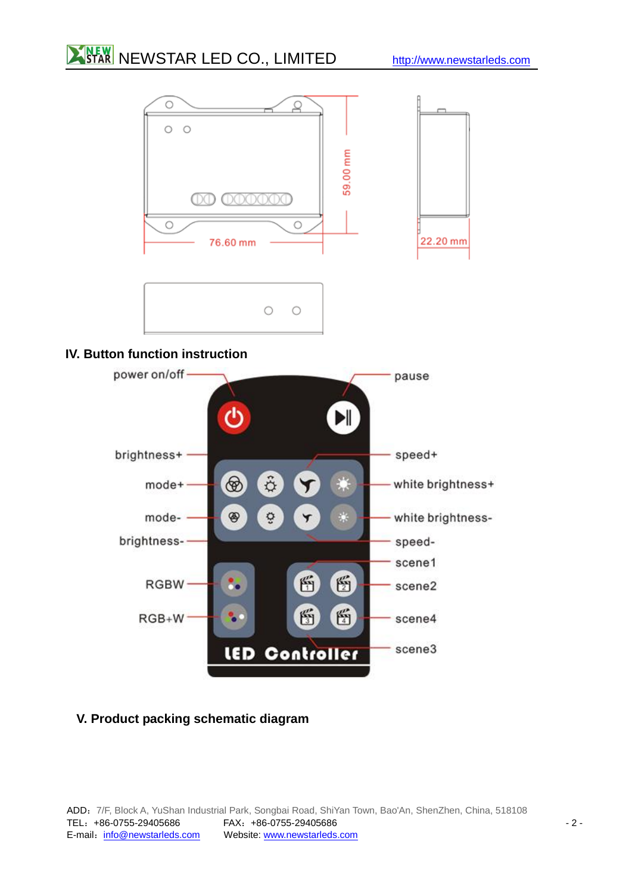## **NEW NEWSTAR LED CO., LIMITED** [http://www.newstarleds.com](http://www.newstarleds.com/)



### **IV. Button function instruction**



## **V. Product packing schematic diagram**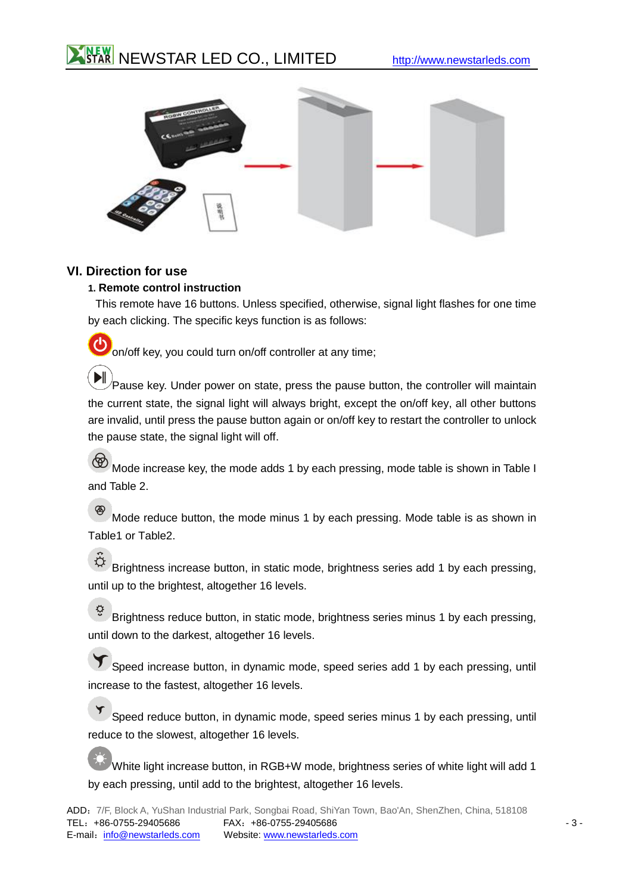



#### **VI. Direction for use**

#### **1. Remote control instruction**

This remote have 16 buttons. Unless specified, otherwise, signal light flashes for one time by each clicking. The specific keys function is as follows:

O on/off key, you could turn on/off controller at any time;

 $\blacktriangleright$  $\sqrt{P}$ ause key. Under power on state, press the pause button, the controller will maintain the current state, the signal light will always bright, except the on/off key, all other buttons are invalid, until press the pause button again or on/off key to restart the controller to unlock the pause state, the signal light will off.

Mode increase key, the mode adds 1 by each pressing, mode table is shown in Table I and Table 2.

 $\circledast$ Mode reduce button, the mode minus 1 by each pressing. Mode table is as shown in Table1 or Table2.

 $\ddot{\circ}$ Brightness increase button, in static mode, brightness series add 1 by each pressing, until up to the brightest, altogether 16 levels.

ੁ Brightness reduce button, in static mode, brightness series minus 1 by each pressing, until down to the darkest, altogether 16 levels.

Speed increase button, in dynamic mode, speed series add 1 by each pressing, until increase to the fastest, altogether 16 levels.

Speed reduce button, in dynamic mode, speed series minus 1 by each pressing, until reduce to the slowest, altogether 16 levels.

White light increase button, in RGB+W mode, brightness series of white light will add 1 by each pressing, until add to the brightest, altogether 16 levels.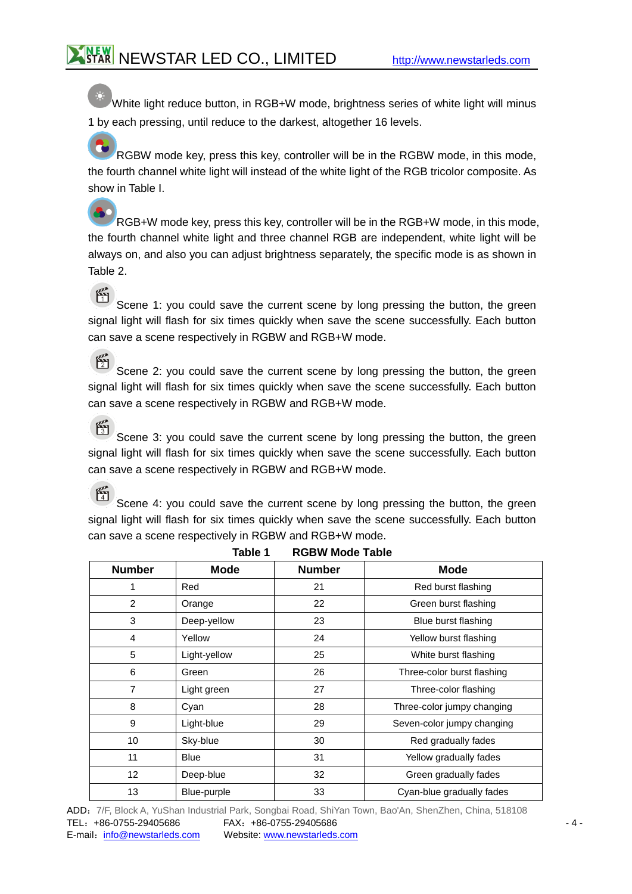White light reduce button, in RGB+W mode, brightness series of white light will minus 1 by each pressing, until reduce to the darkest, altogether 16 levels.

RGBW mode key, press this key, controller will be in the RGBW mode, in this mode, the fourth channel white light will instead of the white light of the RGB tricolor composite. As show in Table I.

RGB+W mode key, press this key, controller will be in the RGB+W mode, in this mode, the fourth channel white light and three channel RGB are independent, white light will be always on, and also you can adjust brightness separately, the specific mode is as shown in Table 2.

 $\mathbb{F}$ Scene 1: you could save the current scene by long pressing the button, the green signal light will flash for six times quickly when save the scene successfully. Each button can save a scene respectively in RGBW and RGB+W mode.

 $\frac{p}{2}$ Scene 2: you could save the current scene by long pressing the button, the green signal light will flash for six times quickly when save the scene successfully. Each button can save a scene respectively in RGBW and RGB+W mode.

腎 Scene 3: you could save the current scene by long pressing the button, the green signal light will flash for six times quickly when save the scene successfully. Each button can save a scene respectively in RGBW and RGB+W mode.

 $\mathcal{E}$ Scene 4: you could save the current scene by long pressing the button, the green signal light will flash for six times quickly when save the scene successfully. Each button can save a scene respectively in RGBW and RGB+W mode.

| <b>Number</b>  | <b>Mode</b>  | <b>Number</b> | <b>Mode</b>                |  |
|----------------|--------------|---------------|----------------------------|--|
| 1              | Red          | 21            | Red burst flashing         |  |
| 2              | Orange       | 22            | Green burst flashing       |  |
| 3              | Deep-yellow  | 23            | Blue burst flashing        |  |
| 4              | Yellow       | 24            | Yellow burst flashing      |  |
| 5              | Light-yellow | 25            | White burst flashing       |  |
| 6              | Green        | 26            | Three-color burst flashing |  |
| $\overline{7}$ | Light green  | 27            | Three-color flashing       |  |
| 8              | Cyan         | 28            | Three-color jumpy changing |  |
| 9              | Light-blue   | 29            | Seven-color jumpy changing |  |
| 10             | Sky-blue     | 30            | Red gradually fades        |  |
| 11             | <b>Blue</b>  | 31            | Yellow gradually fades     |  |
| 12             | Deep-blue    | 32            | Green gradually fades      |  |
| 13             | Blue-purple  | 33            | Cyan-blue gradually fades  |  |

**Table 1 RGBW Mode Table**

ADD:7/F, Block A, YuShan Industrial Park, Songbai Road, ShiYan Town, Bao'An, ShenZhen, China, 518108 TEL:+86-0755-29405686 FAX:+86-0755-29405686 - 4 E-mail: [info@newstarleds.com](mailto:info@newstarleds.com) Website:<www.newstarleds.com>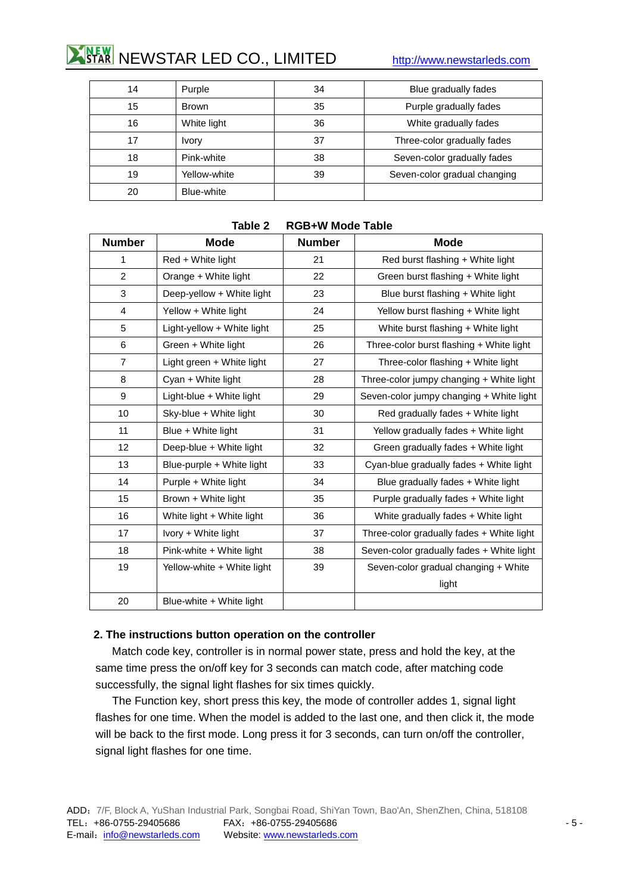## **NEW NEWSTAR LED CO., LIMITED** [http://www.newstarleds.com](http://www.newstarleds.com/)

| 14 | Purple       | 34 | Blue gradually fades         |
|----|--------------|----|------------------------------|
| 15 | Brown        | 35 | Purple gradually fades       |
| 16 | White light  | 36 | White gradually fades        |
| 17 | <b>Ivory</b> | 37 | Three-color gradually fades  |
| 18 | Pink-white   | 38 | Seven-color gradually fades  |
| 19 | Yellow-white | 39 | Seven-color gradual changing |
| 20 | Blue-white   |    |                              |

| <b>Number</b>  | <b>Mode</b>                | <b>Number</b> | <b>Mode</b>                               |
|----------------|----------------------------|---------------|-------------------------------------------|
| 1              | Red + White light          | 21            | Red burst flashing + White light          |
| 2              | Orange + White light       | 22            | Green burst flashing + White light        |
| 3              | Deep-yellow + White light  | 23            | Blue burst flashing + White light         |
| 4              | Yellow + White light       | 24            | Yellow burst flashing + White light       |
| 5              | Light-yellow + White light | 25            | White burst flashing + White light        |
| 6              | Green + White light        | 26            | Three-color burst flashing + White light  |
| $\overline{7}$ | Light green + White light  | 27            | Three-color flashing + White light        |
| 8              | Cyan + White light         | 28            | Three-color jumpy changing + White light  |
| 9              | Light-blue + White light   | 29            | Seven-color jumpy changing + White light  |
| 10             | Sky-blue + White light     | 30            | Red gradually fades + White light         |
| 11             | Blue + White light         | 31            | Yellow gradually fades + White light      |
| 12             | Deep-blue + White light    | 32            | Green gradually fades + White light       |
| 13             | Blue-purple + White light  | 33            | Cyan-blue gradually fades + White light   |
| 14             | Purple + White light       | 34            | Blue gradually fades $+$ White light      |
| 15             | Brown + White light        | 35            | Purple gradually fades + White light      |
| 16             | White light + White light  | 36            | White gradually fades + White light       |
| 17             | Ivory + White light        | 37            | Three-color gradually fades + White light |
| 18             | Pink-white + White light   | 38            | Seven-color gradually fades + White light |
| 19             | Yellow-white + White light | 39            | Seven-color gradual changing + White      |
|                |                            |               | light                                     |
| 20             | Blue-white + White light   |               |                                           |

#### **Table 2 RGB+W Mode Table**

#### **2. The instructions button operation on the controller**

Match code key, controller is in normal power state, press and hold the key, at the same time press the on/off key for 3 seconds can match code, after matching code successfully, the signal light flashes for six times quickly.

The Function key, short press this key, the mode of controller addes 1, signal light flashes for one time. When the model is added to the last one, and then click it, the mode will be back to the first mode. Long press it for 3 seconds, can turn on/off the controller, signal light flashes for one time.